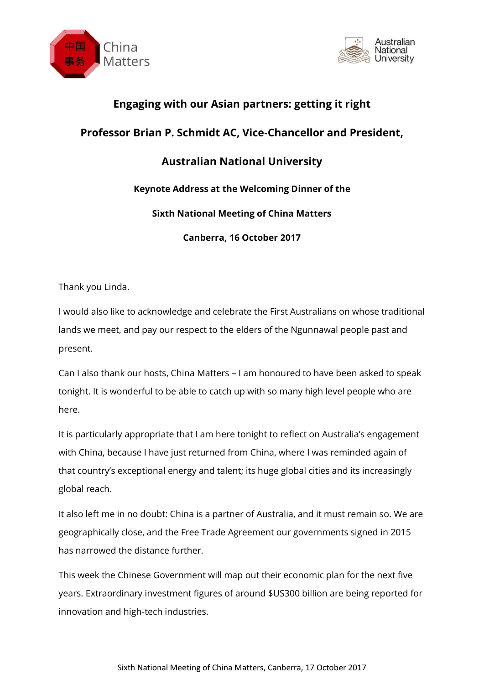



## **Engaging with our Asian partners: getting it right**

## **Professor Brian P. Schmidt AC, Vice-Chancellor and President,**

# **Australian National University**

### **Keynote Address at the Welcoming Dinner of the**

#### **Sixth National Meeting of China Matters**

**Canberra, 16 October 2017**

Thank you Linda.

I would also like to acknowledge and celebrate the First Australians on whose traditional lands we meet, and pay our respect to the elders of the Ngunnawal people past and present.

Can I also thank our hosts, China Matters – I am honoured to have been asked to speak tonight. It is wonderful to be able to catch up with so many high level people who are here.

It is particularly appropriate that I am here tonight to reflect on Australia's engagement with China, because I have just returned from China, where I was reminded again of that country's exceptional energy and talent; its huge global cities and its increasingly global reach.

It also left me in no doubt: China is a partner of Australia, and it must remain so. We are geographically close, and the Free Trade Agreement our governments signed in 2015 has narrowed the distance further.

This week the Chinese Government will map out their economic plan for the next five years. Extraordinary investment figures of around \$US300 billion are being reported for innovation and high-tech industries.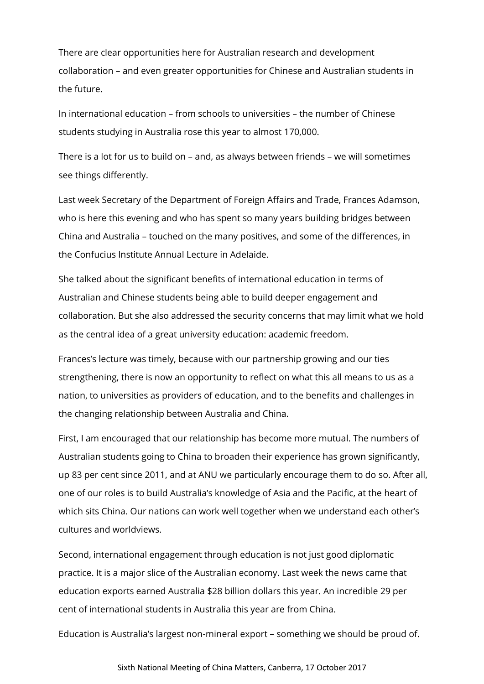There are clear opportunities here for Australian research and development collaboration – and even greater opportunities for Chinese and Australian students in the future.

In international education – from schools to universities – the number of Chinese students studying in Australia rose this year to almost 170,000.

There is a lot for us to build on – and, as always between friends – we will sometimes see things differently.

Last week Secretary of the Department of Foreign Affairs and Trade, Frances Adamson, who is here this evening and who has spent so many years building bridges between China and Australia – touched on the many positives, and some of the differences, in the Confucius Institute Annual Lecture in Adelaide.

She talked about the significant benefits of international education in terms of Australian and Chinese students being able to build deeper engagement and collaboration. But she also addressed the security concerns that may limit what we hold as the central idea of a great university education: academic freedom.

Frances's lecture was timely, because with our partnership growing and our ties strengthening, there is now an opportunity to reflect on what this all means to us as a nation, to universities as providers of education, and to the benefits and challenges in the changing relationship between Australia and China.

First, I am encouraged that our relationship has become more mutual. The numbers of Australian students going to China to broaden their experience has grown significantly, up 83 per cent since 2011, and at ANU we particularly encourage them to do so. After all, one of our roles is to build Australia's knowledge of Asia and the Pacific, at the heart of which sits China. Our nations can work well together when we understand each other's cultures and worldviews.

Second, international engagement through education is not just good diplomatic practice. It is a major slice of the Australian economy. Last week the news came that education exports earned Australia \$28 billion dollars this year. An incredible 29 per cent of international students in Australia this year are from China.

Education is Australia's largest non-mineral export – something we should be proud of.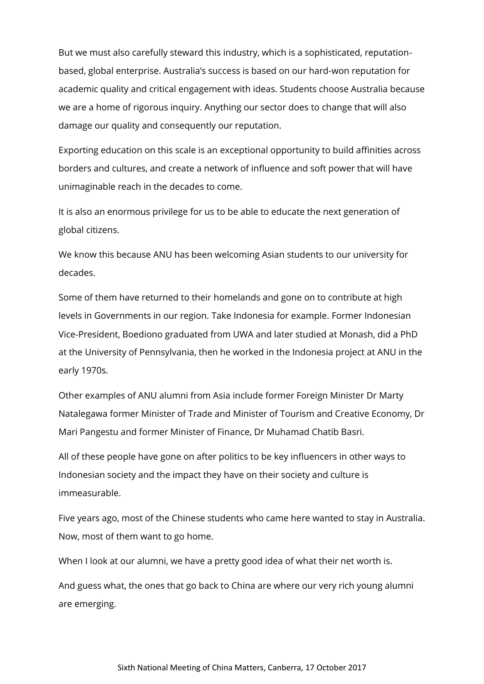But we must also carefully steward this industry, which is a sophisticated, reputationbased, global enterprise. Australia's success is based on our hard-won reputation for academic quality and critical engagement with ideas. Students choose Australia because we are a home of rigorous inquiry. Anything our sector does to change that will also damage our quality and consequently our reputation.

Exporting education on this scale is an exceptional opportunity to build affinities across borders and cultures, and create a network of influence and soft power that will have unimaginable reach in the decades to come.

It is also an enormous privilege for us to be able to educate the next generation of global citizens.

We know this because ANU has been welcoming Asian students to our university for decades.

Some of them have returned to their homelands and gone on to contribute at high levels in Governments in our region. Take Indonesia for example. Former Indonesian Vice-President, Boediono graduated from UWA and later studied at Monash, did a PhD at the University of Pennsylvania, then he worked in the Indonesia project at ANU in the early 1970s.

Other examples of ANU alumni from Asia include former Foreign Minister Dr Marty Natalegawa former Minister of Trade and Minister of Tourism and Creative Economy, Dr Mari Pangestu and former Minister of Finance, Dr Muhamad Chatib Basri.

All of these people have gone on after politics to be key influencers in other ways to Indonesian society and the impact they have on their society and culture is immeasurable.

Five years ago, most of the Chinese students who came here wanted to stay in Australia. Now, most of them want to go home.

When I look at our alumni, we have a pretty good idea of what their net worth is.

And guess what, the ones that go back to China are where our very rich young alumni are emerging.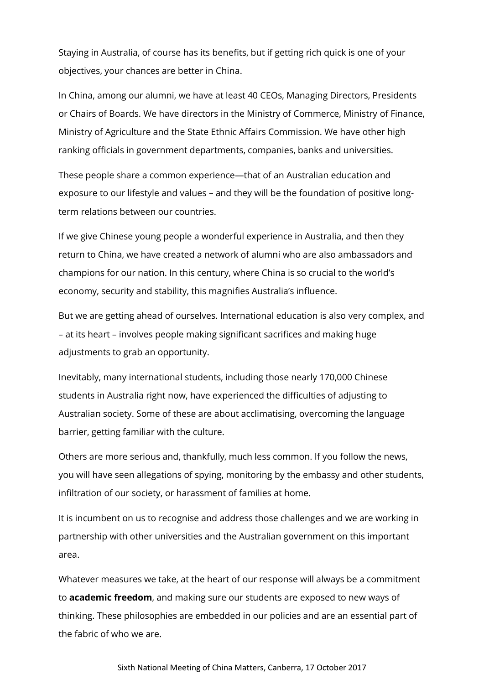Staying in Australia, of course has its benefits, but if getting rich quick is one of your objectives, your chances are better in China.

In China, among our alumni, we have at least 40 CEOs, Managing Directors, Presidents or Chairs of Boards. We have directors in the Ministry of Commerce, Ministry of Finance, Ministry of Agriculture and the State Ethnic Affairs Commission. We have other high ranking officials in government departments, companies, banks and universities.

These people share a common experience—that of an Australian education and exposure to our lifestyle and values – and they will be the foundation of positive longterm relations between our countries.

If we give Chinese young people a wonderful experience in Australia, and then they return to China, we have created a network of alumni who are also ambassadors and champions for our nation. In this century, where China is so crucial to the world's economy, security and stability, this magnifies Australia's influence.

But we are getting ahead of ourselves. International education is also very complex, and – at its heart – involves people making significant sacrifices and making huge adjustments to grab an opportunity.

Inevitably, many international students, including those nearly 170,000 Chinese students in Australia right now, have experienced the difficulties of adjusting to Australian society. Some of these are about acclimatising, overcoming the language barrier, getting familiar with the culture.

Others are more serious and, thankfully, much less common. If you follow the news, you will have seen allegations of spying, monitoring by the embassy and other students, infiltration of our society, or harassment of families at home.

It is incumbent on us to recognise and address those challenges and we are working in partnership with other universities and the Australian government on this important area.

Whatever measures we take, at the heart of our response will always be a commitment to **academic freedom**, and making sure our students are exposed to new ways of thinking. These philosophies are embedded in our policies and are an essential part of the fabric of who we are.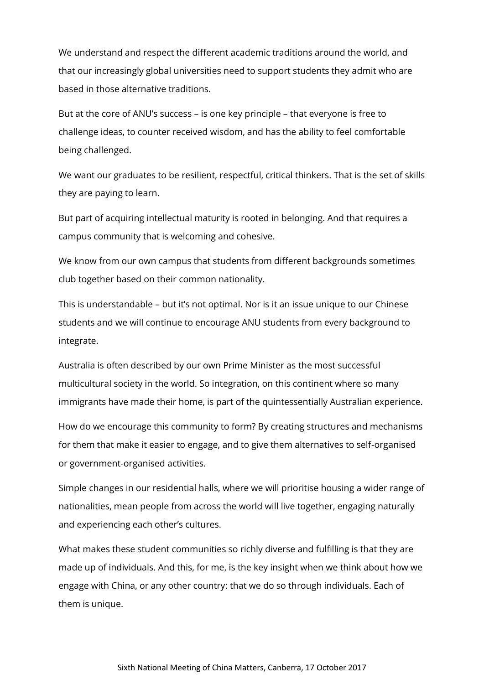We understand and respect the different academic traditions around the world, and that our increasingly global universities need to support students they admit who are based in those alternative traditions.

But at the core of ANU's success – is one key principle – that everyone is free to challenge ideas, to counter received wisdom, and has the ability to feel comfortable being challenged.

We want our graduates to be resilient, respectful, critical thinkers. That is the set of skills they are paying to learn.

But part of acquiring intellectual maturity is rooted in belonging. And that requires a campus community that is welcoming and cohesive.

We know from our own campus that students from different backgrounds sometimes club together based on their common nationality.

This is understandable – but it's not optimal. Nor is it an issue unique to our Chinese students and we will continue to encourage ANU students from every background to integrate.

Australia is often described by our own Prime Minister as the most successful multicultural society in the world. So integration, on this continent where so many immigrants have made their home, is part of the quintessentially Australian experience.

How do we encourage this community to form? By creating structures and mechanisms for them that make it easier to engage, and to give them alternatives to self-organised or government-organised activities.

Simple changes in our residential halls, where we will prioritise housing a wider range of nationalities, mean people from across the world will live together, engaging naturally and experiencing each other's cultures.

What makes these student communities so richly diverse and fulfilling is that they are made up of individuals. And this, for me, is the key insight when we think about how we engage with China, or any other country: that we do so through individuals. Each of them is unique.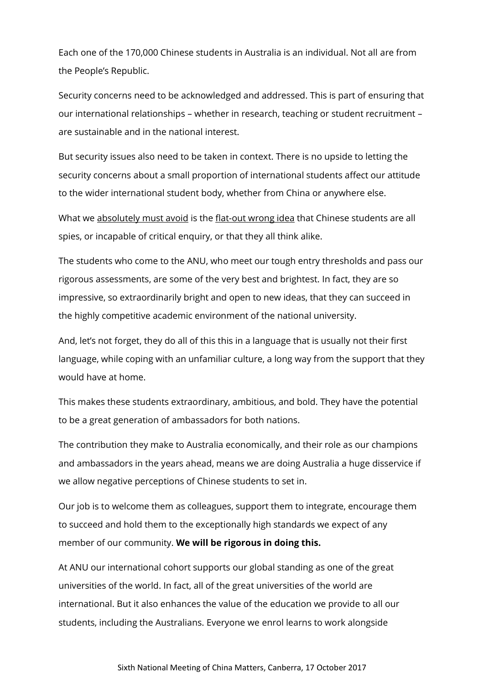Each one of the 170,000 Chinese students in Australia is an individual. Not all are from the People's Republic.

Security concerns need to be acknowledged and addressed. This is part of ensuring that our international relationships – whether in research, teaching or student recruitment – are sustainable and in the national interest.

But security issues also need to be taken in context. There is no upside to letting the security concerns about a small proportion of international students affect our attitude to the wider international student body, whether from China or anywhere else.

What we absolutely must avoid is the flat-out wrong idea that Chinese students are all spies, or incapable of critical enquiry, or that they all think alike.

The students who come to the ANU, who meet our tough entry thresholds and pass our rigorous assessments, are some of the very best and brightest. In fact, they are so impressive, so extraordinarily bright and open to new ideas, that they can succeed in the highly competitive academic environment of the national university.

And, let's not forget, they do all of this this in a language that is usually not their first language, while coping with an unfamiliar culture, a long way from the support that they would have at home.

This makes these students extraordinary, ambitious, and bold. They have the potential to be a great generation of ambassadors for both nations.

The contribution they make to Australia economically, and their role as our champions and ambassadors in the years ahead, means we are doing Australia a huge disservice if we allow negative perceptions of Chinese students to set in.

Our job is to welcome them as colleagues, support them to integrate, encourage them to succeed and hold them to the exceptionally high standards we expect of any member of our community. **We will be rigorous in doing this.**

At ANU our international cohort supports our global standing as one of the great universities of the world. In fact, all of the great universities of the world are international. But it also enhances the value of the education we provide to all our students, including the Australians. Everyone we enrol learns to work alongside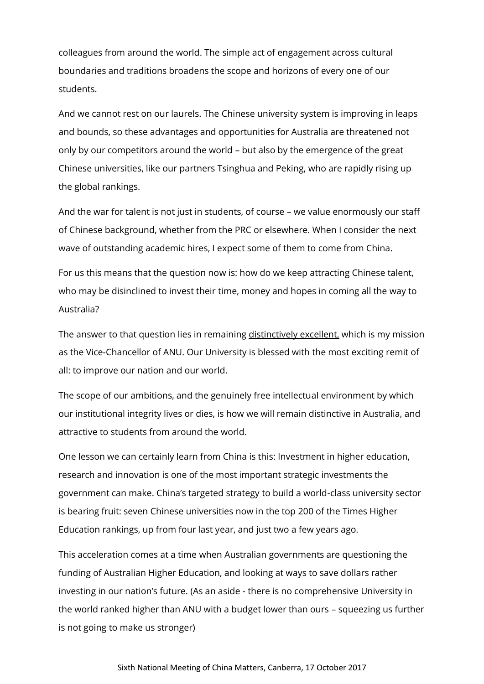colleagues from around the world. The simple act of engagement across cultural boundaries and traditions broadens the scope and horizons of every one of our students.

And we cannot rest on our laurels. The Chinese university system is improving in leaps and bounds, so these advantages and opportunities for Australia are threatened not only by our competitors around the world – but also by the emergence of the great Chinese universities, like our partners Tsinghua and Peking, who are rapidly rising up the global rankings.

And the war for talent is not just in students, of course – we value enormously our staff of Chinese background, whether from the PRC or elsewhere. When I consider the next wave of outstanding academic hires, I expect some of them to come from China.

For us this means that the question now is: how do we keep attracting Chinese talent, who may be disinclined to invest their time, money and hopes in coming all the way to Australia?

The answer to that question lies in remaining distinctively excellent, which is my mission as the Vice-Chancellor of ANU. Our University is blessed with the most exciting remit of all: to improve our nation and our world.

The scope of our ambitions, and the genuinely free intellectual environment by which our institutional integrity lives or dies, is how we will remain distinctive in Australia, and attractive to students from around the world.

One lesson we can certainly learn from China is this: Investment in higher education, research and innovation is one of the most important strategic investments the government can make. China's targeted strategy to build a world-class university sector is bearing fruit: seven Chinese universities now in the top 200 of the Times Higher Education rankings, up from four last year, and just two a few years ago.

This acceleration comes at a time when Australian governments are questioning the funding of Australian Higher Education, and looking at ways to save dollars rather investing in our nation's future. (As an aside - there is no comprehensive University in the world ranked higher than ANU with a budget lower than ours – squeezing us further is not going to make us stronger)